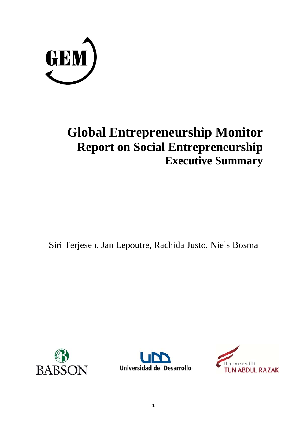

# **Global Entrepreneurship Monitor Report on Social Entrepreneurship Executive Summary**

Siri Terjesen, Jan Lepoutre, Rachida Justo, Niels Bosma





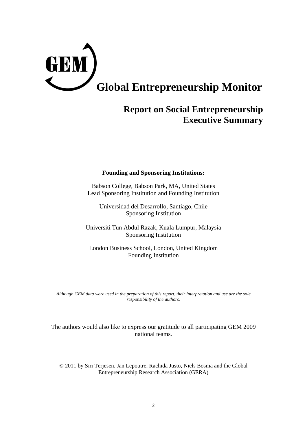

# **Report on Social Entrepreneurship Executive Summary**

# **Founding and Sponsoring Institutions:**

Babson College, Babson Park, MA, United States Lead Sponsoring Institution and Founding Institution

Universidad del Desarrollo, Santiago, Chile Sponsoring Institution

Universiti Tun Abdul Razak, Kuala Lumpur, Malaysia Sponsoring Institution

London Business School, London, United Kingdom Founding Institution

*Although GEM data were used in the preparation of this report, their interpretation and use are the sole responsibility of the authors.*

The authors would also like to express our gratitude to all participating GEM 2009 national teams.

© 2011 by Siri Terjesen, Jan Lepoutre, Rachida Justo, Niels Bosma and the Global Entrepreneurship Research Association (GERA)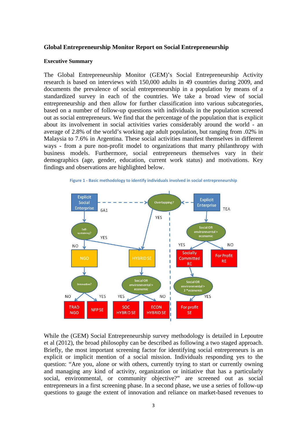## **Global Entrepreneurship Monitor Report on Social Entrepreneurship**

### **Executive Summary**

The Global Entrepreneurship Monitor (GEM)'s Social Entrepreneurship Activity research is based on interviews with 150,000 adults in 49 countries during 2009, and documents the prevalence of social entrepreneurship in a population by means of a standardized survey in each of the countries. We take a broad view of social entrepreneurship and then allow for further classification into various subcategories, based on a number of follow-up questions with individuals in the population screened out as social entrepreneurs. We find that the percentage of the population that is explicit about its involvement in social activities varies considerably around the world - an average of 2.8% of the world's working age adult population, but ranging from .02% in Malaysia to 7.6% in Argentina. These social activities manifest themselves in different ways - from a pure non-profit model to organizations that marry philanthropy with business models. Furthermore, social entrepreneurs themselves vary in their demographics (age, gender, education, current work status) and motivations. Key findings and observations are highlighted below.

**Figure 1 ‐ Basic methodology to identify individuals involved in social entrepreneurship**



While the (GEM) Social Entrepreneurship survey methodology is detailed in Lepoutre et al (2012), the broad philosophy can be described as following a two staged approach. Briefly, the most important screening factor for identifying social entrepreneurs is an explicit or implicit mention of a social mission. Individuals responding yes to the question: "Are you, alone or with others, currently trying to start or currently owning and managing any kind of activity, organization or initiative that has a particularly social, environmental, or community objective?" are screened out as social entrepreneurs in a first screening phase. In a second phase, we use a series of follow-up questions to gauge the extent of innovation and reliance on market-based revenues to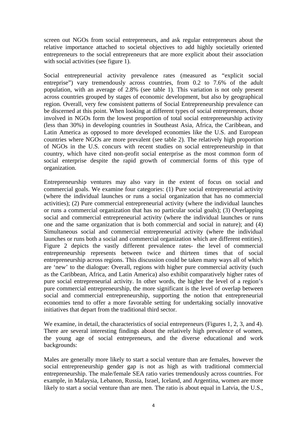screen out NGOs from social entrepreneurs, and ask regular entrepreneurs about the relative importance attached to societal objectives to add highly societally oriented entrepreneurs to the social entrepreneurs that are more explicit about their association with social activities (see figure 1).

Social entrepreneurial activity prevalence rates (measured as "explicit social entreprise") vary tremendously across countries, from 0.2 to 7.6% of the adult population, with an average of 2.8% (see table 1). This variation is not only present across countries grouped by stages of economic development, but also by geographical region. Overall, very few consistent patterns of Social Entrepreneurship prevalence can be discerned at this point. When looking at different types of social entrepreneurs, those involved in NGOs form the lowest proportion of total social entrepreneurship activity (less than 30%) in developing countries in Southeast Asia, Africa, the Caribbean, and Latin America as opposed to more developed economies like the U.S. and European countries where NGOs are more prevalent (see table 2). The relatively high proportion of NGOs in the U.S. concurs with recent studies on social entrepreneurship in that country, which have cited non-profit social enterprise as the most common form of social enterprise despite the rapid growth of commercial forms of this type of organization.

Entrepreneurship ventures may also vary in the extent of focus on social and commercial goals. We examine four categories: (1) Pure social entrepreneurial activity (where the individual launches or runs a social organization that has no commercial activities); (2) Pure commercial entrepreneurial activity (where the individual launches or runs a commercial organization that has no particular social goals); (3) Overlapping social and commercial entrepreneurial activity (where the individual launches or runs one and the same organization that is both commercial and social in nature); and (4) Simultaneous social and commercial entrepreneurial activity (where the individual launches or runs both a social and commercial organization which are different entities). Figure 2 depicts the vastly different prevalence rates- the level of commercial entrepreneurship represents between twice and thirteen times that of social entrepreneurship across regions. This discussion could be taken many ways all of which are 'new' to the dialogue: Overall, regions with higher pure commercial activity (such as the Caribbean, Africa, and Latin America) also exhibit comparatively higher rates of pure social entrepreneurial activity. In other words, the higher the level of a region's pure commercial entrepreneurship, the more significant is the level of overlap between social and commercial entrepreneurship, supporting the notion that entrepreneurial economies tend to offer a more favorable setting for undertaking socially innovative initiatives that depart from the traditional third sector.

We examine, in detail, the characteristics of social entrepreneurs (Figures 1, 2, 3, and 4). There are several interesting findings about the relatively high prevalence of women, the young age of social entrepreneurs, and the diverse educational and work backgrounds:

Males are generally more likely to start a social venture than are females, however the social entrepreneurship gender gap is not as high as with traditional commercial entrepreneurship. The male/female SEA ratio varies tremendously across countries. For example, in Malaysia, Lebanon, Russia, Israel, Iceland, and Argentina, women are more likely to start a social venture than are men. The ratio is about equal in Latvia, the U.S.,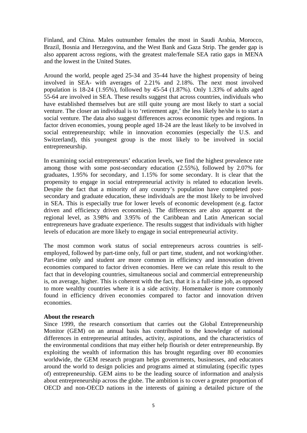Finland, and China. Males outnumber females the most in Saudi Arabia, Morocco, Brazil, Bosnia and Herzegovina, and the West Bank and Gaza Strip. The gender gap is also apparent across regions, with the greatest male/female SEA ratio gaps in MENA and the lowest in the United States.

Around the world, people aged 25-34 and 35-44 have the highest propensity of being involved in SEA- with averages of 2.21% and 2.18%. The next most involved population is 18-24 (1.95%), followed by 45-54 (1.87%). Only 1.33% of adults aged 55-64 are involved in SEA. These results suggest that across countries, individuals who have established themselves but are still quite young are most likely to start a social venture. The closer an individual is to 'retirement age,' the less likely he/she is to start a social venture. The data also suggest differences across economic types and regions. In factor driven economies, young people aged 18-24 are the least likely to be involved in social entrepreneurship; while in innovation economies (especially the U.S. and Switzerland), this youngest group is the most likely to be involved in social entrepreneurship.

In examining social entrepreneurs' education levels, we find the highest prevalence rate among those with some post-secondary education (2.55%), followed by 2.07% for graduates, 1.95% for secondary, and 1.15% for some secondary. It is clear that the propensity to engage in social entrepreneurial activity is related to education levels. Despite the fact that a minority of any country's population have completed postsecondary and graduate education, these individuals are the most likely to be involved in SEA. This is especially true for lower levels of economic development (e.g. factor driven and efficiency driven economies). The differences are also apparent at the regional level, as 3.98% and 3.95% of the Caribbean and Latin American social entrepreneurs have graduate experience. The results suggest that individuals with higher levels of education are more likely to engage in social entrepreneurial activity.

The most common work status of social entrepreneurs across countries is selfemployed, followed by part-time only, full or part time, student, and not working/other. Part-time only and student are more common in efficiency and innovation driven economies compared to factor driven economies. Here we can relate this result to the fact that in developing countries, simultaneous social and commercial entrepreneurship is, on average, higher. This is coherent with the fact, that it is a full-time job, as opposed to more wealthy countries where it is a side activity. Homemaker is more commonly found in efficiency driven economies compared to factor and innovation driven economies.

# **About the research**

Since 1999, the research consortium that carries out the Global Entrepreneurship Monitor (GEM) on an annual basis has contributed to the knowledge of national differences in entrepreneurial attitudes, activity, aspirations, and the characteristics of the environmental conditions that may either help flourish or deter entrepreneurship. By exploiting the wealth of information this has brought regarding over 80 economies worldwide, the GEM research program helps governments, businesses, and educators around the world to design policies and programs aimed at stimulating (specific types of) entrepreneurship. GEM aims to be the leading source of information and analysis about entrepreneurship across the globe. The ambition is to cover a greater proportion of OECD and non-OECD nations in the interests of gaining a detailed picture of the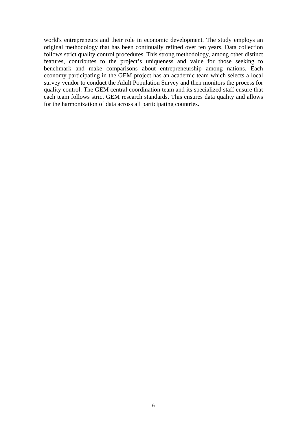world's entrepreneurs and their role in economic development. The study employs an original methodology that has been continually refined over ten years. Data collection follows strict quality control procedures. This strong methodology, among other distinct features, contributes to the project's uniqueness and value for those seeking to benchmark and make comparisons about entrepreneurship among nations. Each economy participating in the GEM project has an academic team which selects a local survey vendor to conduct the Adult Population Survey and then monitors the process for quality control. The GEM central coordination team and its specialized staff ensure that each team follows strict GEM research standards. This ensures data quality and allows for the harmonization of data across all participating countries.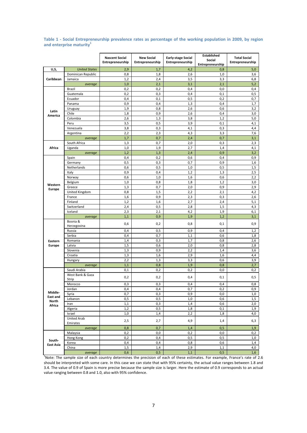#### Table 1 - Social Entrepreneurship prevalence rates as percentage of the working population in 2009, by region and enterprise maturity<sup>1</sup>

|                                               |                                | <b>Nascent Social</b><br>Entrepreneurship | <b>New Social</b><br>Entrepreneurship | <b>Early-stage Social</b><br>Entrepreneurship | <b>Established</b><br>Social<br>Entrepreneurship | <b>Total Social</b><br>Entrepreneurship |
|-----------------------------------------------|--------------------------------|-------------------------------------------|---------------------------------------|-----------------------------------------------|--------------------------------------------------|-----------------------------------------|
| U,S,                                          | <b>United States</b>           | 2,9                                       | 1,7                                   | 4,2                                           | 0,8                                              | 5,0                                     |
| Caribbean                                     | Dominican Republic             | 0,8                                       | 1,8                                   | 2,6                                           | 1,0                                              | 3,6                                     |
|                                               | Jamaica                        | 1,2                                       | 2,4                                   | 3,5                                           | 3,3                                              | 6,8                                     |
|                                               | average                        | 1,0                                       | 2,1                                   | 3,1                                           | 2,1                                              | 5,2                                     |
|                                               | <b>Brazil</b>                  | 0,2                                       | 0,2                                   | 0,4                                           | 0,0                                              | 0,4                                     |
| Latin<br>America                              | Guatemala                      | 0,2                                       | 0,3                                   | 0,4                                           | 0,1                                              | 0,5                                     |
|                                               | Ecuador                        | 0,4                                       | 0,1                                   | 0,5                                           | 0,2                                              | 0,7                                     |
|                                               | Panama                         | 0,9                                       | 0,4                                   | 1,3                                           | 0,4                                              | 1,7                                     |
|                                               | Uruguay                        | 1,9                                       | 0,8                                   | 2,6                                           | 0,6                                              | 3,2                                     |
|                                               | Chile                          | 1,8                                       | 0,9                                   | 2,6                                           | 0,4                                              | 3,0                                     |
|                                               | Colombia                       | 2,6                                       | 1,3                                   | 3,8                                           | 1,2                                              | 5,0                                     |
|                                               | Peru                           | 3,5                                       | 0,5                                   | 3,9                                           | 0,1                                              | 4,1                                     |
|                                               | Venezuela                      | 3,8                                       | 0,3                                   | 4,1                                           | 0,3                                              | 4,4                                     |
|                                               | Argentina                      | 2,2                                       | 2,3                                   | 4,3                                           | 3,3                                              | 7,6                                     |
|                                               | average                        | 1,7                                       | 0,7                                   | 2,4                                           | 0,7                                              | 3,1                                     |
|                                               | South Africa                   | 1,3                                       | 0,7                                   | 2,0                                           | 0,3                                              | 2,3                                     |
| Africa                                        | Uganda                         | 1,0                                       | 1,9                                   | 2,7                                           | 1,4                                              | 4,1                                     |
|                                               | average                        | 1,2                                       | 1,3                                   | 2,4                                           | 0,9                                              | 3,2                                     |
|                                               | Spain                          | 0,4                                       | 0,2                                   | 0,6                                           | 0,4                                              | 0,9                                     |
|                                               | Germany                        | 0,5                                       | 0,3                                   | 0,7                                           | 0,9                                              | 1,6                                     |
|                                               | Netherlands                    | 0,6                                       | 0,5                                   | 1,0                                           | 0,5                                              | 1,5                                     |
|                                               | Italy                          | 0,9                                       | 0,4                                   | 1,2                                           | 1,3                                              | 2,5                                     |
|                                               | Norway                         | 0,6                                       | 1,0                                   | 1,6                                           | 0,6                                              | 2,2                                     |
|                                               | Belgium                        | 1,0                                       | 0,8                                   | 1,8                                           | 1,2                                              | 3,0                                     |
| Western                                       | Greece                         | 1,3                                       | 0,7                                   | 2,0                                           | 0,9                                              | 2,9                                     |
| Europe                                        | United Kingdom                 | 0,8                                       | 1,5                                   | 2,2                                           | 2,1                                              | 4,2                                     |
|                                               | France                         | 1,6                                       | 0,9                                   | 2,3                                           | 0,3                                              | 2,6                                     |
|                                               | Finland                        | 1,2                                       | 1,6                                   | 2,7                                           | 2,4                                              | 5,1                                     |
|                                               | Switzerland                    | 2,4                                       | 0,5                                   | 2,8                                           | 1,5                                              | 4,3                                     |
|                                               | Iceland                        | 2,3                                       | 2,1                                   | 4,2                                           | 1,9                                              | 6,1                                     |
|                                               | average                        | 1,1                                       | 0,9                                   | 1,9                                           | 1,2                                              | 3,1                                     |
|                                               | Bosnia &<br>Herzegovina        | 0,6                                       | 0,2                                   | 0,8                                           | 0,1                                              | 0,9                                     |
|                                               | Russia                         | 0,4                                       | 0,5                                   | 0,9                                           | 0,4                                              | 1,2                                     |
|                                               | Serbia                         | 0,4                                       | 0,7                                   | 1,1                                           | 0,6                                              | 1,8                                     |
| Eastern<br>Europe                             | Romania                        | 1,4                                       | 0,3                                   | 1,7                                           | 0,8                                              | 2,6                                     |
|                                               | Latvia                         | 1,5                                       | 0,6                                   | 2,0                                           | 0,8                                              | 2,8                                     |
|                                               | Slovenia                       | 1,3                                       | 0,9                                   | 2,2                                           | 1,4                                              | 3,6                                     |
|                                               | Croatia                        | 1,3                                       | 1,6                                   | 2,9                                           | 1,6                                              | 4,4                                     |
|                                               | Hungary                        | 2,2                                       | 1,3                                   | 3,3                                           | 0,6                                              | 3,9                                     |
|                                               | average                        | 1,1                                       | 0,8                                   | 1,9                                           | 0,8                                              | 2,7                                     |
| Middle-<br><b>East and</b><br>North<br>Africa | Saudi Arabia                   | 0,1                                       | 0,2                                   | 0,2                                           | 0,0                                              | 0,2                                     |
|                                               | West Bank & Gaza<br>Strip      | 0,2                                       | 0,2                                   | 0,4                                           | 0,1                                              | 0,5                                     |
|                                               | Morocco                        | 0,3                                       | 0,3                                   | 0,4                                           | 0,4                                              | 0,8                                     |
|                                               | Jordan                         | 0,4                                       | 0,4                                   | 0,7                                           | 0,2                                              | 0,9                                     |
|                                               | Syria                          | 0,7                                       | 0,3                                   | 0,9                                           | 0,0                                              | 1,0                                     |
|                                               | Lebanon                        | 0,5                                       | 0,5                                   | 1,0                                           | 0,6                                              | 1,5                                     |
|                                               | Iran                           | 1,1                                       | 0,3                                   | 1,4                                           | 0,6                                              | 2,0                                     |
|                                               | Algeria                        | 1,2                                       | 0,5                                   | 1,8                                           | 0,1                                              | 1,9                                     |
|                                               | Israel                         | 1,0                                       | 1,4                                   | 2,2                                           | 1,8                                              | 4,0                                     |
|                                               | <b>United Arab</b><br>Emirates | 2,5                                       | 2,7                                   | 4,9                                           | 1,4                                              | 6,3                                     |
|                                               | average                        | 0,8                                       | 0,7                                   | 1,4                                           | 0,5                                              | 1,9                                     |
| South-<br><b>East Asia</b>                    | Malaysia                       | 0,2                                       | 0,0                                   | 0,2                                           | 0,0                                              | 0,2                                     |
|                                               | Hong Kong                      | 0,2                                       | 0,4                                   | 0,5                                           | 0,5                                              | 1,0                                     |
|                                               | Korea                          | 0,4                                       | 0,4                                   | 0,8                                           | 0,6                                              | 1,4                                     |
|                                               | China                          | 1,5                                       | 1,4                                   | 2,9                                           | 1,1                                              | 4,0                                     |
|                                               | average                        | 0,6                                       | 0,5                                   | 1,1                                           | 0,5                                              | 1,6                                     |

<sup>1</sup>Note: The sample size of each country determines the precision of each of these estimates. For example, France's rate of 2.6 should be interpreted with some care. In this case we can state that with 95% certainty, the actual value ranges between 1.8 and 3.4. The value of 0.9 of Spain is more precise because the sample size is larger. Here the estimate of 0.9 corresponds to an actual value ranging between 0.8 and 1.0, also with 95% confidence.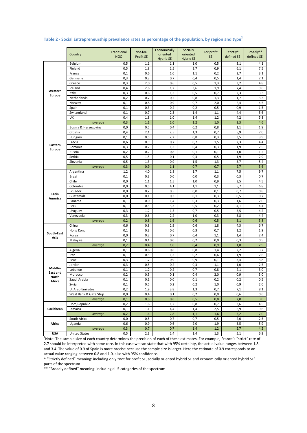|                                        | Country                | Traditional<br><b>NGO</b> | Not-for-<br>Profit SE | Economically<br>oriented | Socially<br>oriented    | For profit<br><b>SE</b> | Strictly*<br>defined SE | Broadly**<br>defined SE |
|----------------------------------------|------------------------|---------------------------|-----------------------|--------------------------|-------------------------|-------------------------|-------------------------|-------------------------|
|                                        | Belgium                | 0,5                       | 1,1                   | <b>Hybrid SE</b><br>1,1  | <b>Hybrid SE</b><br>1,0 | 0,5                     | 3,1                     | 4,1                     |
| Western<br><b>Europe</b>               | Finland                | 0,5                       | 1,8                   | 1,5                      | 2,7                     | 0,9                     | 6,1                     | 7,5                     |
|                                        | France                 | 0,1                       | 0,6                   | 1,0                      | 1,1                     | 0,2                     | 2,7                     | 3,1                     |
|                                        | Germany                | 0,3                       | 0,3                   | 0,7                      | 0,4                     | 0,5                     | 1,4                     | 2,1                     |
|                                        | Greece                 | 0,3                       | 2,0                   | 0,6                      | 0,5                     | 1,3                     | 3,2                     | 4,8                     |
|                                        | Iceland                | 0,4                       | 2,6                   | 1,2                      | 3,6                     | 1,9                     | 7,4                     | 9,6                     |
|                                        | Italy                  | 0,3                       | 0,6                   | 1,3                      | 0,5                     | 0,7                     | 2,3                     | 3,3                     |
|                                        | Netherlands            | 0,2                       | 0,7                   | 0,2                      | 0,8                     | 1,3                     | 1,7                     | 3,3                     |
|                                        | Norway                 | 0,1                       | 0,8                   | 0,9                      | 0,7                     | 2,0                     | 2,4                     | 4,5                     |
|                                        | Spain                  | 0,1                       | 0,3                   | 0,4                      | 0,2                     | 0,5                     | 0,9                     | 1,5                     |
|                                        | Switzerland            | 0,1                       | 0,7                   | 2,3                      | 1,4                     | 1,1                     | 4,4                     | 5,6                     |
|                                        | UK                     | 0,4                       | 1,8                   | 1,0                      | 1,4                     | 1,2                     | 4,2                     | 5,8                     |
|                                        | average                | 0,3                       | 1,1                   | 1,0                      | 1,2                     | 1,0                     | 3,3                     | 4,6                     |
|                                        | Bosnia & Herzegovina   | 0,0                       | 0,5                   | 0,4                      | 0,2                     | 0,8                     | 1,1                     | 1,9                     |
|                                        | Croatia                | 0,4                       | 2,1                   | 2,5                      | 1,3                     | 0,7                     | 5,9                     | 7,0                     |
|                                        | Hungary                | 0,1                       | 0,5                   | 2,2                      | 0,8                     | 0,3                     | 3,5                     | 3,9                     |
|                                        | Latvia                 | 0,6                       | 0,9                   | 0,7                      | 0,7                     | 1,5                     | 2,3                     | 4,4                     |
| Eastern                                | Romania                | 0,3                       | 0,2                   | 1,3                      | 0,4                     | 0,3                     | 1,9                     | 2,5                     |
| <b>Europe</b>                          | Russia                 | 0,2                       | 0,2                   | 0,8                      | 0,1                     | 0,1                     | 1,0                     | 1,2                     |
|                                        | Serbia                 | 0,5                       | 1,5                   | 0,1                      | 0,3                     | 0,5                     | 1,9                     | 2,9                     |
|                                        | Slovenia               | 0,5                       | 1,3                   | 0,9                      | 1,5                     | 1,3                     | 3,7                     | 5,4                     |
|                                        | average                | 0,3                       | 0,9                   | 1,1                      | 0,7                     | 0,7                     | 2,7                     | 3,6                     |
|                                        | Argentina              | 1,2                       | 4,0                   | 1,8                      | 1,7                     | 1,1                     | 7,5                     | 9,7                     |
|                                        | Brazil                 | 0,1                       | 0,3                   | 0,0                      | 0,0                     |                         | 0,3                     |                         |
|                                        | Chile                  | 0,0                       | 1,1                   | 1,5                      | 1,0                     | 0,3<br>0,9              | 3,5                     | 0,7<br>4,5              |
| Latin                                  |                        |                           |                       |                          |                         |                         |                         |                         |
|                                        | Colombia<br>Ecuador    | 0,0<br>0,0                | 0,5                   | 4,1                      | 1,1<br>0,0              | 1,1                     | 5,7<br>0,7              | 6,8                     |
|                                        |                        |                           | 0,2<br>0,1            | 0,5                      |                         | 0,1<br>0,3              | 0,5                     | 0,8<br>0,7              |
| America                                | Guatemala              | 0,0                       |                       | 0,3                      | 0,1                     |                         |                         |                         |
|                                        | Panama                 | 0,1                       | 0,0                   | 1,4                      | 0,3                     | 0,3                     | 1,6                     | 2,0                     |
|                                        | Peru                   | 0,1                       | 0,3                   | 3,3                      | 0,5                     | 0,2                     | 4,1                     | 4,4                     |
|                                        | Uruguay                | 0,3                       | 1,2                   | 1,5                      | 0,7                     | 0,5                     | 3,5                     | 4,2                     |
|                                        | Venezuela              | 0,3                       | 0,6                   | 2,2                      | 1,0                     | 0,3                     | 3,8                     | 4,4                     |
| South-East<br>Asia                     | average                | 0,2                       | 0,8                   | 1,6                      | 0,6                     | 0,5                     | 3,1                     | 3,8                     |
|                                        | China                  | 0,6                       | 0,8                   | 2,9                      | 0,6                     | 1,8                     | 4,3                     | 6,7                     |
|                                        | Hong Kong              | 0,1                       | 0,3                   | 0,6                      | 0,3                     | 0,7                     | 1,2                     | 1,9                     |
|                                        | Korea                  | 0,0                       | 0,3                   | 0,7                      | 0,4                     | 1,1                     | 1,4                     | 2,4                     |
|                                        | Malaysia               | 0,1                       | 0,1                   | 0,0                      | 0,2                     | 0,0                     | 0,3                     | 0,5                     |
|                                        | average                | 0,2                       | 0,4                   | 1,0                      | 0,4                     | 0,9                     | 1,8                     | 2,9                     |
| Middle-<br>East and<br>North<br>Africa | Algeria                | 0,1                       | 0,6                   | 0,8                      | 0,8                     | 1,4                     | 2,2                     | 3,7                     |
|                                        | Iran                   | 0,1                       | 0,5                   | 1,3                      | 0,2                     | 0,6                     | 1,9                     | 2,6                     |
|                                        | Israel                 | 0,3                       | 1,7                   | 0,9                      | 0,9                     | 0,1                     | 3,4                     | 3,8                     |
|                                        | Jordan                 | 0,3                       | 0,5                   | 0,2                      | 0,3                     | 1,1                     | 1,0                     | 2,5                     |
|                                        | Lebanon                | 0,1                       | 1,2                   | 0,2                      | 0,7                     | 0,8                     | 2,1                     | 3,0                     |
|                                        | Morocco                | 0,2                       | 0,3                   | 0,1                      | 0,4                     | 2,0                     | 0,9                     | 3,0                     |
|                                        | Saudi Arabia           | 0,1                       | 0,1                   | 0,0                      | 0,1                     | 0,2                     | 0,2                     | 0,5                     |
|                                        | Syria                  | 0,1                       | 0,5                   | 0,2                      | 0,2                     | 1,0                     | 0,9                     | 2,0                     |
|                                        | U, Arab Emirates       | 0,2                       | 1,9                   | 3,8                      | 1,3                     | 0,7                     | 7,1                     | 8,1                     |
|                                        | West Bank & Gaza Strip | 0,0                       | 0,4                   | 0,1                      | 0,2                     | 0,0                     | 0,6                     | 0,6                     |
| Caribbean                              | average                | 0,1                       | 0,8                   | 0,8                      | 0,5                     | 0,8                     | 2,0                     | 3,0                     |
|                                        | Dom, Republic          | 0,2                       | 1,6                   | 1,2                      | 0,8                     | 0,7                     | 3,6                     | 4,5                     |
|                                        | Jamaica                | 0,1                       | 1,1                   | 4,4                      | 1,4                     | 2,5                     | 6,9                     | 9,6                     |
|                                        | average                | 0,2                       | 1,4                   | 2,8                      | 1,1                     | 1,6                     | 5,2                     | 7,0                     |
| Africa                                 | South Africa           | 0,0                       | 0,5                   | 0,7                      | 0,7                     | 0,5                     | 2,0                     | 2,5                     |
|                                        | Uganda                 | 0,6                       | 0,9                   | 0,6                      | 2,0                     | 1,9                     | 3,5                     | 5,9                     |
|                                        | average                | 0,3                       | 0,7                   | 0,7                      | 1,4                     | 1,2                     | 2,7                     | 4,2                     |
| <b>USA</b>                             | <b>United States</b>   | 0,5                       | 2,3                   | 1,4                      | 1,4                     | 1,3                     | 5,1                     | 6,9                     |

#### **Table 2 ‐ Social Entrepreneurship prevalence rates as percentage of the population, by region and type<sup>2</sup>**

<sup>2</sup>Note: The sample size of each country determines the precision of each of these estimates. For example, France's "strict" rate of 2.7 should be interpreted with some care. In this case we can state that with 95% certainty, the actual value ranges between 1.8 and 3.4. The value of 0.9 of Spain is more precise because the sample size is larger. Here the estimate of 0.9 corresponds to an actual value ranging between 0.8 and 1.0, also with 95% confidence.

\*\* "Broadly defined" meaning: including all 5 categories of the spectrum

<sup>\*</sup> "Strictly defined" meaning: including only "not for profit SE, socially oriented hybrid SE and economically oriented hybrid SE" parts of the spectrum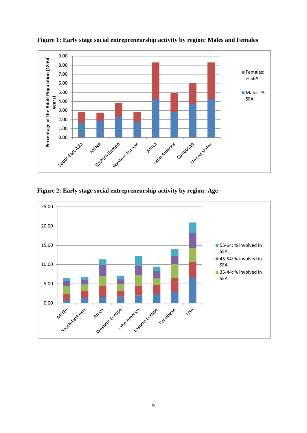

**Figure 1: Early stage social entrepreneurship activity by region: Males and Females** 

**Figure 2: Early stage social entrepreneurship activity by region: Age** 

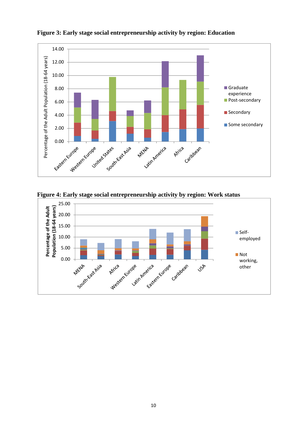

**Figure 3: Early stage social entrepreneurship activity by region: Education** 

**Figure 4: Early stage social entrepreneurship activity by region: Work status** 

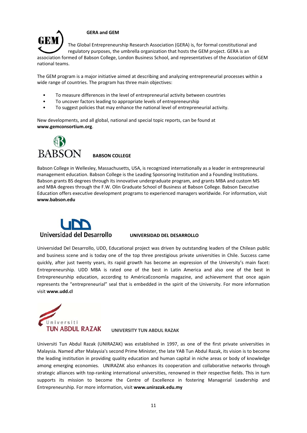

## **GERA and GEM**

The Global Entrepreneurship Research Association (GERA) is, for formal constitutional and regulatory purposes, the umbrella organization that hosts the GEM project. GERA is an

association formed of Babson College, London Business School, and representatives of the Association of GEM national teams.

The GEM program is a major initiative aimed at describing and analyzing entrepreneurial processes within a wide range of countries. The program has three main objectives:

- To measure differences in the level of entrepreneurial activity between countries
- To uncover factors leading to appropriate levels of entrepreneurship
- To suggest policies that may enhance the national level of entrepreneurial activity.

New developments, and all global, national and special topic reports, can be found at **www.gemconsortium.org**.



**BABSON COLLEGE**

Babson College in Wellesley, Massachusetts, USA, is recognized internationally as a leader in entrepreneurial management education. Babson College is the Leading Sponsoring Institution and a Founding Institutions. Babson grants BS degrees through its innovative undergraduate program, and grants MBA and custom MS and MBA degrees through the F.W. Olin Graduate School of Business at Babson College. Babson Executive Education offers executive development programs to experienced managers worldwide. For information, visit **www.babson.edu**



#### **UNIVERSIDAD DEL DESARROLLO**

Universidad Del Desarrollo, UDD, Educational project was driven by outstanding leaders of the Chilean public and business scene and is today one of the top three prestigious private universities in Chile. Success came quickly, after just twenty years, its rapid growth has become an expression of the University's main facet: Entrepreneurship. UDD MBA is rated one of the best in Latin America and also one of the best in Entrepreneurship education, according to AméricaEconomîa magazine, and achievement that once again represents the "entrepreneurial" seal that is embedded in the spirit of the University. For more information visit **www.udd.cl** 



**UNIVERSITY TUN ABDUL RAZAK** 

Universiti Tun Abdul Razak (UNIRAZAK) was established in 1997, as one of the first private universities in Malaysia. Named after Malaysia's second Prime Minister, the late YAB Tun Abdul Razak, its vision is to become the leading institution in providing quality education and human capital in niche areas or body of knowledge among emerging economies. UNIRAZAK also enhances its cooperation and collaborative networks through strategic alliances with top-ranking international universities, renowned in their respective fields. This in turn supports its mission to become the Centre of Excellence in fostering Managerial Leadership and Entrepreneurship. For more information, visit **www.unirazak.edu.my**